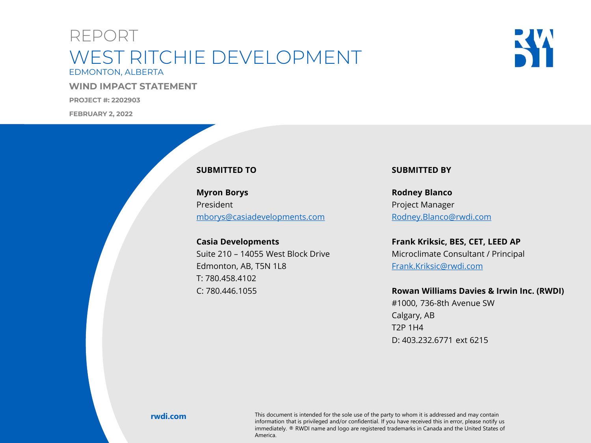### REPORT EDMONTON, ALBERTA WEST RITCHIE DEVELOPMENT

**WIND IMPACT STATEMENT**

**PROJECT #: 2202903**

**FEBRUARY 2, 2022**

**RWDI Project #2202903**



#### **SUBMITTED TO**

**Myron Borys** President [mborys@casiadevelopments.com](mailto:mborys@casiadevelopments.com)

**Casia Developments** Suite 210 – 14055 West Block Drive Edmonton, AB, T5N 1L8 T: 780.458.4102 C: 780.446.1055

#### **SUBMITTED BY**

**Rodney Blanco** Project Manager [Rodney.Blanco@rwdi.com](mailto:Rodney.Blanco@rwdi.com)

**Frank Kriksic, BES, CET, LEED AP** Microclimate Consultant / Principal [Frank.Kriksic@rwdi.com](mailto:Frank.Kriksic@rwdi.com)

#### **Rowan Williams Davies & Irwin Inc. (RWDI)**

#1000, 736-8th Avenue SW Calgary, AB T2P 1H4 D: 403.232.6771 ext 6215

mionhadon diat is privileged and/or connuendal. In you have received this in error, please notify us<br>immediately. ® RWDI name and logo are registered trademarks in Canada and the United States of **rwdi.com** This document is intended for the sole use of the party to whom it is addressed and may contain information that is privileged and/or confidential. If you have received this in error, please notify us America.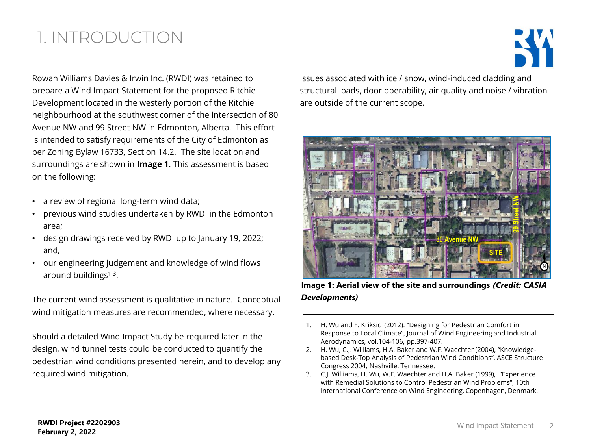# 1. INTRODUCTION

Rowan Williams Davies & Irwin Inc. (RWDI) was retained to prepare a Wind Impact Statement for the proposed Ritchie Development located in the westerly portion of the Ritchie neighbourhood at the southwest corner of the intersection of 80 Avenue NW and 99 Street NW in Edmonton, Alberta. This effort is intended to satisfy requirements of the City of Edmonton as per Zoning Bylaw 16733, Section 14.2. The site location and surroundings are shown in **Image 1**. This assessment is based on the following:

- a review of regional long-term wind data;
- previous wind studies undertaken by RWDI in the Edmonton area;
- design drawings received by RWDI up to January 19, 2022; and,
- our engineering judgement and knowledge of wind flows around buildings<sup>1-3</sup>.

The current wind assessment is qualitative in nature. Conceptual wind mitigation measures are recommended, where necessary.

Should a detailed Wind Impact Study be required later in the design, wind tunnel tests could be conducted to quantify the pedestrian wind conditions presented herein, and to develop any required wind mitigation.

Issues associated with ice / snow, wind-induced cladding and structural loads, door operability, air quality and noise / vibration are outside of the current scope.



**Image 1: Aerial view of the site and surroundings** *(Credit: CASIA Developments)*

- 1. H. Wu and F. Kriksic (2012). "Designing for Pedestrian Comfort in Response to Local Climate", Journal of Wind Engineering and Industrial Aerodynamics, vol.104-106, pp.397-407.
- 2. H. Wu, C.J. Williams, H.A. Baker and W.F. Waechter (2004), "Knowledgebased Desk-Top Analysis of Pedestrian Wind Conditions", ASCE Structure Congress 2004, Nashville, Tennessee.
- 3. C.J. Williams, H. Wu, W.F. Waechter and H.A. Baker (1999), "Experience with Remedial Solutions to Control Pedestrian Wind Problems", 10th International Conference on Wind Engineering, Copenhagen, Denmark.

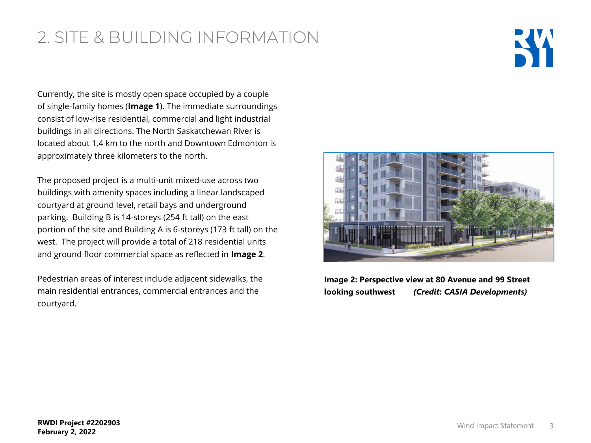# 2. SITE & BUILDING INFORMATION

Currently, the site is mostly open space occupied by a couple of single-family homes (**Image 1**). The immediate surroundings consist of low-rise residential, commercial and light industrial buildings in all directions. The North Saskatchewan River is located about 1.4 km to the north and Downtown Edmonton is approximately three kilometers to the north.

The proposed project is a multi-unit mixed-use across two buildings with amenity spaces including a linear landscaped courtyard at ground level, retail bays and underground parking. Building B is 14-storeys (254 ft tall) on the east portion of the site and Building A is 6-storeys (173 ft tall) on the west. The project will provide a total of 218 residential units and ground floor commercial space as reflected in **Image 2**.

Pedestrian areas of interest include adjacent sidewalks, the main residential entrances, commercial entrances and the courtyard.



**Image 2: Perspective view at 80 Avenue and 99 Street looking southwest** *(Credit: CASIA Developments)*

K.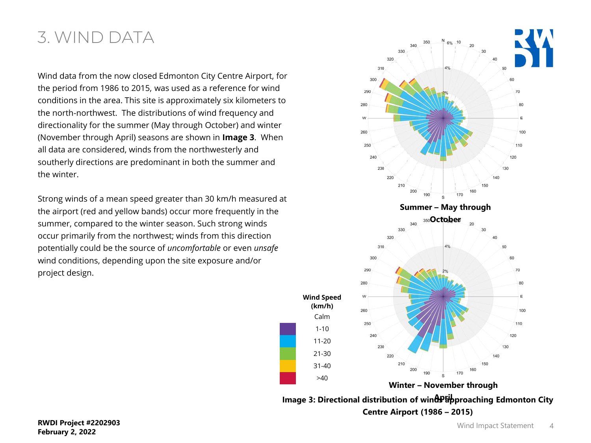### 3. WIND DATA

Wind data from the now closed Edmonton City Centre Airport, for the period from 1986 to 2015, was used as a reference for wind conditions in the area. This site is approximately six kilometers to the north-northwest. The distributions of wind frequency and directionality for the summer (May through October) and winter (November through April) seasons are shown in **Image 3**. When all data are considered, winds from the northwesterly and southerly directions are predominant in both the summer and the winter.

Strong winds of a mean speed greater than 30 km/h measured at the airport (red and yellow bands) occur more frequently in the summer, compared to the winter season. Such strong winds occur primarily from the northwest; winds from this direction potentially could be the source of *uncomfortable* or even *unsafe* wind conditions, depending upon the site exposure and/or project design.



**Centre Airport (1986 – 2015)**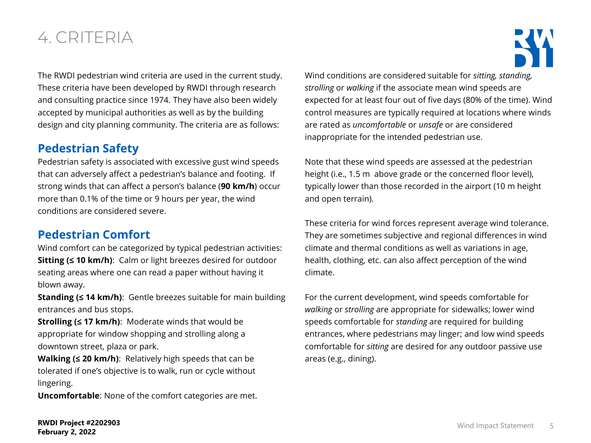## 4. CRITERIA

The RWDI pedestrian wind criteria are used in the current study. These criteria have been developed by RWDI through research and consulting practice since 1974. They have also been widely accepted by municipal authorities as well as by the building design and city planning community. The criteria are as follows:

### **Pedestrian Safety**

Pedestrian safety is associated with excessive gust wind speeds that can adversely affect a pedestrian's balance and footing. If strong winds that can affect a person's balance (**90 km/h**) occur more than 0.1% of the time or 9 hours per year, the wind conditions are considered severe.

### **Pedestrian Comfort**

Wind comfort can be categorized by typical pedestrian activities: **Sitting (≤ 10 km/h)**: Calm or light breezes desired for outdoor seating areas where one can read a paper without having it blown away.

**Standing (≤ 14 km/h)**: Gentle breezes suitable for main building entrances and bus stops.

**Strolling (≤ 17 km/h)**: Moderate winds that would be appropriate for window shopping and strolling along a downtown street, plaza or park.

**Walking (≤ 20 km/h)**: Relatively high speeds that can be tolerated if one's objective is to walk, run or cycle without lingering.

**Uncomfortable**: None of the comfort categories are met.

Wind conditions are considered suitable for *sitting, standing, strolling* or *walking* if the associate mean wind speeds are expected for at least four out of five days (80% of the time). Wind control measures are typically required at locations where winds are rated as *uncomfortable* or *unsafe* or are considered inappropriate for the intended pedestrian use.

Note that these wind speeds are assessed at the pedestrian height (i.e., 1.5 m above grade or the concerned floor level), typically lower than those recorded in the airport (10 m height and open terrain).

These criteria for wind forces represent average wind tolerance. They are sometimes subjective and regional differences in wind climate and thermal conditions as well as variations in age, health, clothing, etc. can also affect perception of the wind climate.

For the current development, wind speeds comfortable for *walking* or *strolling* are appropriate for sidewalks; lower wind speeds comfortable for *standing* are required for building entrances, where pedestrians may linger; and low wind speeds comfortable for *sitting* are desired for any outdoor passive use areas (e.g., dining).

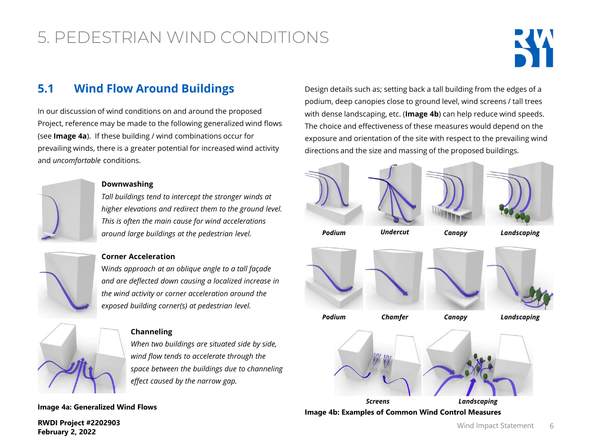

### **5.1 Wind Flow Around Buildings**

In our discussion of wind conditions on and around the proposed Project, reference may be made to the following generalized wind flows (see **Image 4a**). If these building / wind combinations occur for prevailing winds, there is a greater potential for increased wind activity and *uncomfortable* conditions.



#### **Downwashing**

*Tall buildings tend to intercept the stronger winds at higher elevations and redirect them to the ground level. This is often the main cause for wind accelerations around large buildings at the pedestrian level.*

### **Corner Acceleration**

W*inds approach at an oblique angle to a tall façade and are deflected down causing a localized increase in the wind activity or corner acceleration around the exposed building corner(s) at pedestrian level.*



#### **Channeling**

*When two buildings are situated side by side, wind flow tends to accelerate through the space between the buildings due to channeling effect caused by the narrow gap.*

**Image 4a: Generalized Wind Flows** 

**RWDI Project #2202903 February 2, 2022**

Design details such as; setting back a tall building from the edges of a podium, deep canopies close to ground level, wind screens / tall trees with dense landscaping, etc. (**Image 4b**) can help reduce wind speeds. The choice and effectiveness of these measures would depend on the exposure and orientation of the site with respect to the prevailing wind directions and the size and massing of the proposed buildings.



**Image 4b: Examples of Common Wind Control Measures**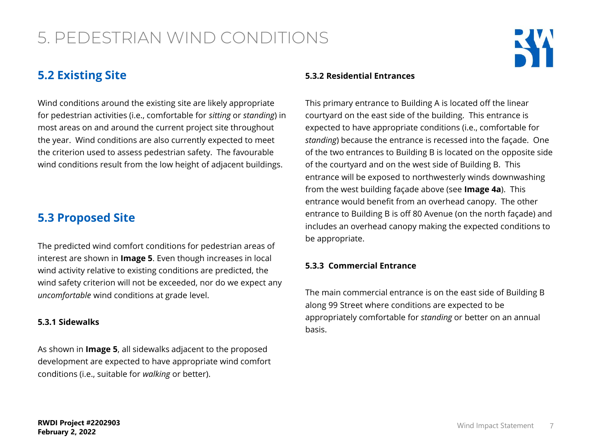### **5.2 Existing Site**

Wind conditions around the existing site are likely appropriate for pedestrian activities (i.e., comfortable for *sitting* or *standing*) in most areas on and around the current project site throughout the year. Wind conditions are also currently expected to meet the criterion used to assess pedestrian safety. The favourable wind conditions result from the low height of adjacent buildings.

### **5.3 Proposed Site**

The predicted wind comfort conditions for pedestrian areas of interest are shown in **Image 5**. Even though increases in local wind activity relative to existing conditions are predicted, the wind safety criterion will not be exceeded, nor do we expect any *uncomfortable* wind conditions at grade level.

#### **5.3.1 Sidewalks**

As shown in **Image 5**, all sidewalks adjacent to the proposed development are expected to have appropriate wind comfort conditions (i.e., suitable for *walking* or better).

#### **5.3.2 Residential Entrances**

This primary entrance to Building A is located off the linear courtyard on the east side of the building. This entrance is expected to have appropriate conditions (i.e., comfortable for *standing*) because the entrance is recessed into the façade. One of the two entrances to Building B is located on the opposite side of the courtyard and on the west side of Building B. This entrance will be exposed to northwesterly winds downwashing from the west building façade above (see **Image 4a**). This entrance would benefit from an overhead canopy. The other entrance to Building B is off 80 Avenue (on the north façade) and includes an overhead canopy making the expected conditions to be appropriate.

#### **5.3.3 Commercial Entrance**

The main commercial entrance is on the east side of Building B along 99 Street where conditions are expected to be appropriately comfortable for *standing* or better on an annual basis.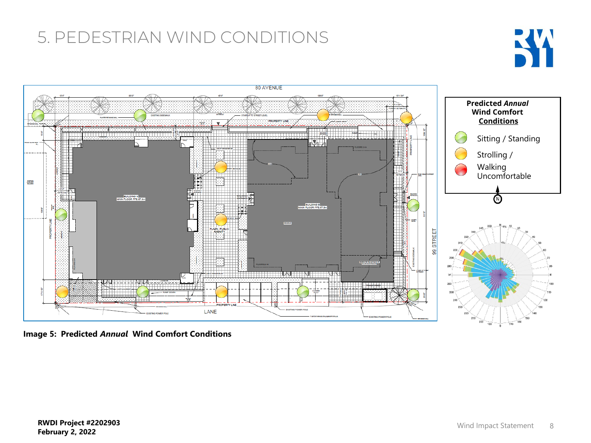



**Image 5: Predicted** *Annual* **Wind Comfort Conditions**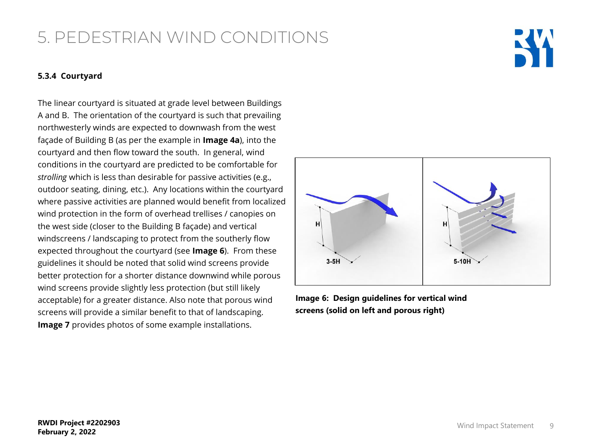#### **5.3.4 Courtyard**

The linear courtyard is situated at grade level between Buildings A and B. The orientation of the courtyard is such that prevailing northwesterly winds are expected to downwash from the west façade of Building B (as per the example in **Image 4a**), into the courtyard and then flow toward the south. In general, wind conditions in the courtyard are predicted to be comfortable for *strolling* which is less than desirable for passive activities (e.g., outdoor seating, dining, etc.). Any locations within the courtyard where passive activities are planned would benefit from localized wind protection in the form of overhead trellises / canopies on the west side (closer to the Building B façade) and vertical windscreens / landscaping to protect from the southerly flow expected throughout the courtyard (see **Image 6**). From these guidelines it should be noted that solid wind screens provide better protection for a shorter distance downwind while porous wind screens provide slightly less protection (but still likely acceptable) for a greater distance. Also note that porous wind screens will provide a similar benefit to that of landscaping. **Image 7** provides photos of some example installations.



**Image 6: Design guidelines for vertical wind screens (solid on left and porous right)**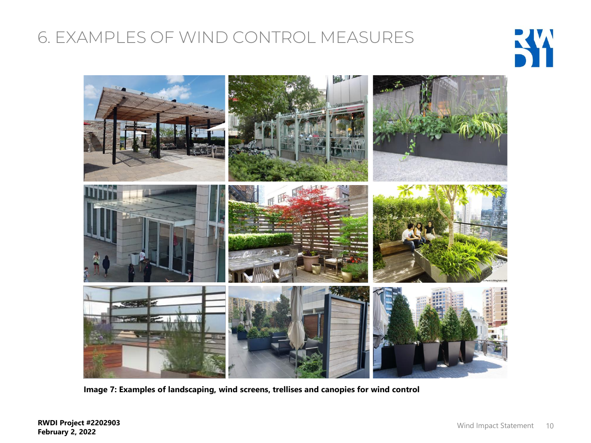# 6. EXAMPLES OF WIND CONTROL MEASURES





**Image 7: Examples of landscaping, wind screens, trellises and canopies for wind control**

**RWDI Project #2202903 February 2, 2022**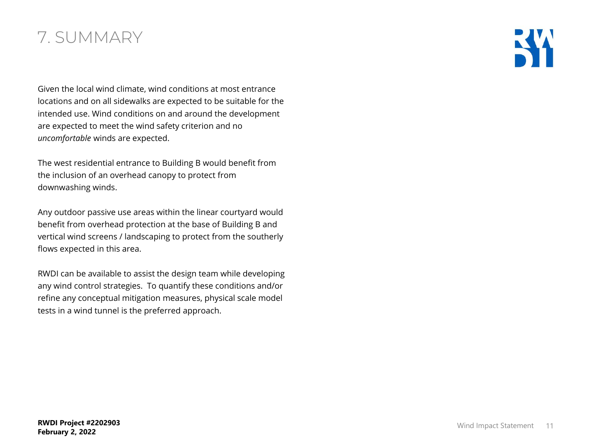### 7. SUMMARY

Given the local wind climate, wind conditions at most entrance locations and on all sidewalks are expected to be suitable for the intended use. Wind conditions on and around the development are expected to meet the wind safety criterion and no *uncomfortable* winds are expected.

The west residential entrance to Building B would benefit from the inclusion of an overhead canopy to protect from downwashing winds.

Any outdoor passive use areas within the linear courtyard would benefit from overhead protection at the base of Building B and vertical wind screens / landscaping to protect from the southerly flows expected in this area.

RWDI can be available to assist the design team while developing any wind control strategies. To quantify these conditions and/or refine any conceptual mitigation measures, physical scale model tests in a wind tunnel is the preferred approach.

КW